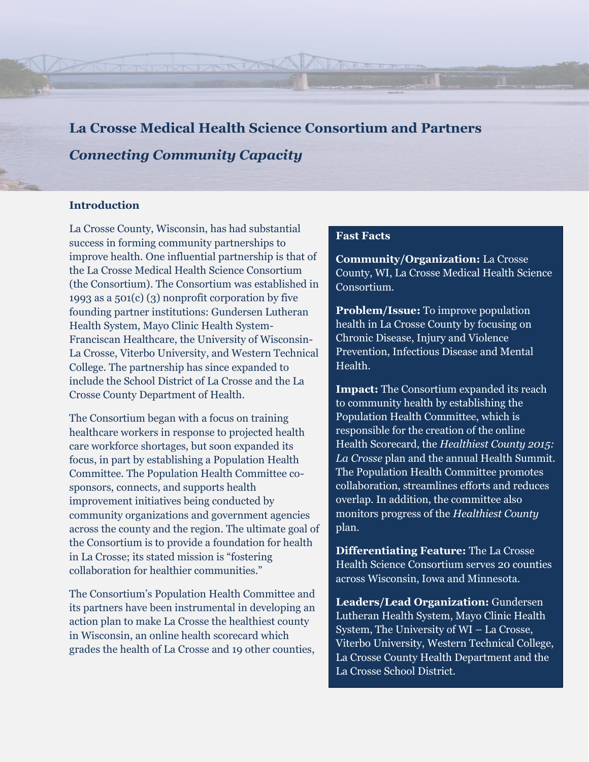**La Crosse Medical Health Science Consortium and Partners** *Connecting Community Capacity*

AND A TANART

#### **Introduction**

La Crosse County, Wisconsin, has had substantial success in forming community partnerships to improve health. One influential partnership is that of the La Crosse Medical Health Science Consortium (the Consortium). The Consortium was established in 1993 as a 501(c) (3) nonprofit corporation by five founding partner institutions: Gundersen Lutheran Health System, Mayo Clinic Health System-Franciscan Healthcare, the University of Wisconsin-La Crosse, Viterbo University, and Western Technical College. The partnership has since expanded to include the School District of La Crosse and the La Crosse County Department of Health.

The Consortium began with a focus on training healthcare workers in response to projected health care workforce shortages, but soon expanded its focus, in part by establishing a Population Health Committee. The Population Health Committee cosponsors, connects, and supports health improvement initiatives being conducted by community organizations and government agencies across the county and the region. The ultimate goal of the Consortium is to provide a foundation for health in La Crosse; its stated mission is "fostering collaboration for healthier communities."

The Consortium's Population Health Committee and its partners have been instrumental in developing an action plan to make La Crosse the healthiest county in Wisconsin, an online health scorecard which grades the health of La Crosse and 19 other counties,

#### **Fast Facts**

**Community/Organization:** La Crosse County, WI, La Crosse Medical Health Science Consortium.

**Problem/Issue:** To improve population health in La Crosse County by focusing on Chronic Disease, Injury and Violence Prevention, Infectious Disease and Mental Health.

**Impact:** The Consortium expanded its reach to community health by establishing the Population Health Committee, which is responsible for the creation of the online Health Scorecard, the *Healthiest County 2015: La Crosse* plan and the annual Health Summit. The Population Health Committee promotes collaboration, streamlines efforts and reduces overlap. In addition, the committee also monitors progress of the *Healthiest County* plan.

**Differentiating Feature:** The La Crosse Health Science Consortium serves 20 counties across Wisconsin, Iowa and Minnesota.

**Leaders/Lead Organization:** Gundersen Lutheran Health System, Mayo Clinic Health System, The University of WI – La Crosse, Viterbo University, Western Technical College, La Crosse County Health Department and the La Crosse School District.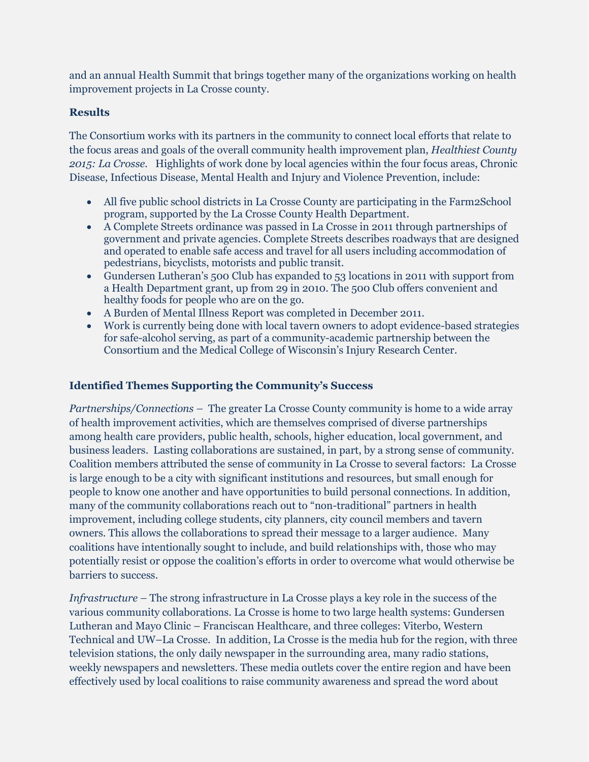and an annual Health Summit that brings together many of the organizations working on health improvement projects in La Crosse county.

# **Results**

The Consortium works with its partners in the community to connect local efforts that relate to the focus areas and goals of the overall community health improvement plan, *Healthiest County 2015: La Crosse.* Highlights of work done by local agencies within the four focus areas, Chronic Disease, Infectious Disease, Mental Health and Injury and Violence Prevention, include:

- All five public school districts in La Crosse County are participating in the Farm2School program, supported by the La Crosse County Health Department.
- A Complete Streets ordinance was passed in La Crosse in 2011 through partnerships of government and private agencies. Complete Streets describes roadways that are designed and operated to enable safe access and travel for all users including accommodation of pedestrians, bicyclists, motorists and public transit.
- Gundersen Lutheran's 500 Club has expanded to 53 locations in 2011 with support from a Health Department grant, up from 29 in 2010. The 500 Club offers convenient and healthy foods for people who are on the go.
- A Burden of Mental Illness Report was completed in December 2011.
- Work is currently being done with local tavern owners to adopt evidence-based strategies for safe-alcohol serving, as part of a community-academic partnership between the Consortium and the Medical College of Wisconsin's Injury Research Center.

# **Identified Themes Supporting the Community's Success**

*Partnerships/Connections –* The greater La Crosse County community is home to a wide array of health improvement activities, which are themselves comprised of diverse partnerships among health care providers, public health, schools, higher education, local government, and business leaders. Lasting collaborations are sustained, in part, by a strong sense of community. Coalition members attributed the sense of community in La Crosse to several factors: La Crosse is large enough to be a city with significant institutions and resources, but small enough for people to know one another and have opportunities to build personal connections. In addition, many of the community collaborations reach out to "non-traditional" partners in health improvement, including college students, city planners, city council members and tavern owners. This allows the collaborations to spread their message to a larger audience. Many coalitions have intentionally sought to include, and build relationships with, those who may potentially resist or oppose the coalition's efforts in order to overcome what would otherwise be barriers to success.

*Infrastructure –* The strong infrastructure in La Crosse plays a key role in the success of the various community collaborations. La Crosse is home to two large health systems: Gundersen Lutheran and Mayo Clinic – Franciscan Healthcare, and three colleges: Viterbo, Western Technical and UW–La Crosse. In addition, La Crosse is the media hub for the region, with three television stations, the only daily newspaper in the surrounding area, many radio stations, weekly newspapers and newsletters. These media outlets cover the entire region and have been effectively used by local coalitions to raise community awareness and spread the word about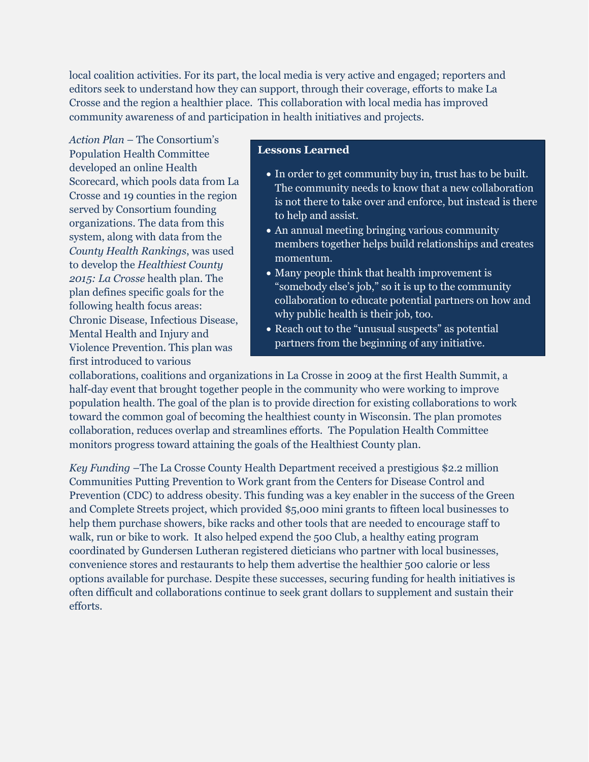local coalition activities. For its part, the local media is very active and engaged; reporters and editors seek to understand how they can support, through their coverage, efforts to make La Crosse and the region a healthier place. This collaboration with local media has improved community awareness of and participation in health initiatives and projects.

*Action Plan* – The Consortium's Population Health Committee developed an online Health Scorecard, which pools data from La Crosse and 19 counties in the region served by Consortium founding organizations. The data from this system, along with data from the *County Health Rankings*, was used to develop the *Healthiest County 2015: La Crosse* health plan. The plan defines specific goals for the following health focus areas: Chronic Disease, Infectious Disease, Mental Health and Injury and Violence Prevention. This plan was first introduced to various

### **Lessons Learned**

- In order to get community buy in, trust has to be built. The community needs to know that a new collaboration is not there to take over and enforce, but instead is there to help and assist.
- An annual meeting bringing various community members together helps build relationships and creates momentum.
- Many people think that health improvement is "somebody else's job," so it is up to the community collaboration to educate potential partners on how and why public health is their job, too.
- Reach out to the "unusual suspects" as potential partners from the beginning of any initiative.

collaborations, coalitions and organizations in La Crosse in 2009 at the first Health Summit, a half-day event that brought together people in the community who were working to improve population health. The goal of the plan is to provide direction for existing collaborations to work toward the common goal of becoming the healthiest county in Wisconsin. The plan promotes collaboration, reduces overlap and streamlines efforts. The Population Health Committee monitors progress toward attaining the goals of the Healthiest County plan.

*Key Funding* –The La Crosse County Health Department received a prestigious \$2.2 million Communities Putting Prevention to Work grant from the Centers for Disease Control and Prevention (CDC) to address obesity. This funding was a key enabler in the success of the Green and Complete Streets project, which provided \$5,000 mini grants to fifteen local businesses to help them purchase showers, bike racks and other tools that are needed to encourage staff to walk, run or bike to work. It also helped expend the 500 Club, a healthy eating program coordinated by Gundersen Lutheran registered dieticians who partner with local businesses, convenience stores and restaurants to help them advertise the healthier 500 calorie or less options available for purchase. Despite these successes, securing funding for health initiatives is often difficult and collaborations continue to seek grant dollars to supplement and sustain their efforts.